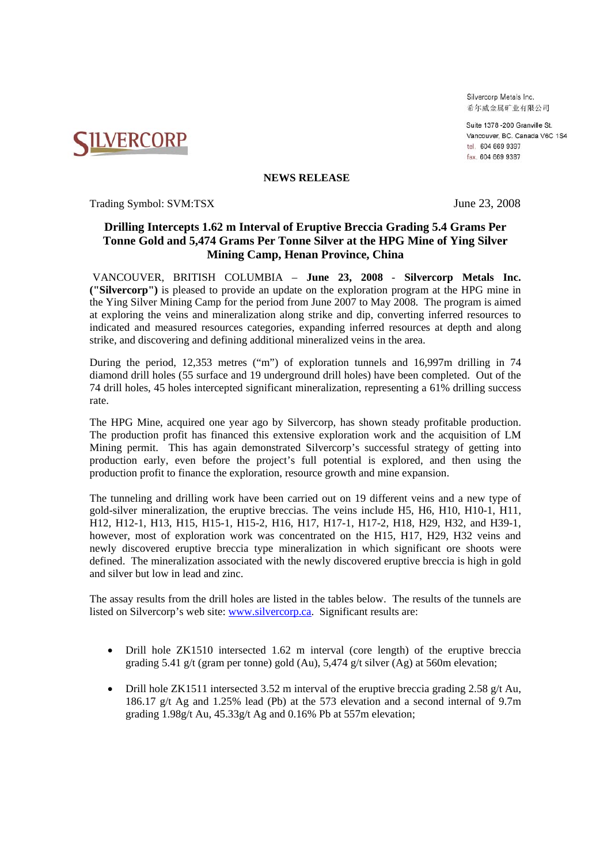**NILVERCORP** 

Silvercorp Metals Inc. 希尔威金属矿业有限公司

Suite 1378-200 Granville St Vancouver, BC. Canada V6C 1S4 tel. 604 669 9397 fax. 604 669 9387

### **NEWS RELEASE**

Trading Symbol: SVM:TSX June 23, 2008

# **Drilling Intercepts 1.62 m Interval of Eruptive Breccia Grading 5.4 Grams Per Tonne Gold and 5,474 Grams Per Tonne Silver at the HPG Mine of Ying Silver Mining Camp, Henan Province, China**

VANCOUVER, BRITISH COLUMBIA – **June 23, 2008** - **Silvercorp Metals Inc. ("Silvercorp")** is pleased to provide an update on the exploration program at the HPG mine in the Ying Silver Mining Camp for the period from June 2007 to May 2008. The program is aimed at exploring the veins and mineralization along strike and dip, converting inferred resources to indicated and measured resources categories, expanding inferred resources at depth and along strike, and discovering and defining additional mineralized veins in the area.

During the period, 12,353 metres ("m") of exploration tunnels and 16,997m drilling in 74 diamond drill holes (55 surface and 19 underground drill holes) have been completed. Out of the 74 drill holes, 45 holes intercepted significant mineralization, representing a 61% drilling success rate.

The HPG Mine, acquired one year ago by Silvercorp, has shown steady profitable production. The production profit has financed this extensive exploration work and the acquisition of LM Mining permit. This has again demonstrated Silvercorp's successful strategy of getting into production early, even before the project's full potential is explored, and then using the production profit to finance the exploration, resource growth and mine expansion.

The tunneling and drilling work have been carried out on 19 different veins and a new type of gold-silver mineralization, the eruptive breccias. The veins include H5, H6, H10, H10-1, H11, H12, H12-1, H13, H15, H15-1, H15-2, H16, H17, H17-1, H17-2, H18, H29, H32, and H39-1, however, most of exploration work was concentrated on the H15, H17, H29, H32 veins and newly discovered eruptive breccia type mineralization in which significant ore shoots were defined. The mineralization associated with the newly discovered eruptive breccia is high in gold and silver but low in lead and zinc.

The assay results from the drill holes are listed in the tables below. The results of the tunnels are listed on Silvercorp's web site: www.silvercorp.ca. Significant results are:

- Drill hole ZK1510 intersected 1.62 m interval (core length) of the eruptive breccia grading 5.41 g/t (gram per tonne) gold (Au), 5,474 g/t silver (Ag) at 560m elevation;
- Drill hole ZK1511 intersected 3.52 m interval of the eruptive breccia grading 2.58 g/t Au, 186.17 g/t Ag and 1.25% lead (Pb) at the 573 elevation and a second internal of 9.7m grading  $1.98g/t$  Au,  $45.33g/t$  Ag and  $0.16%$  Pb at 557m elevation;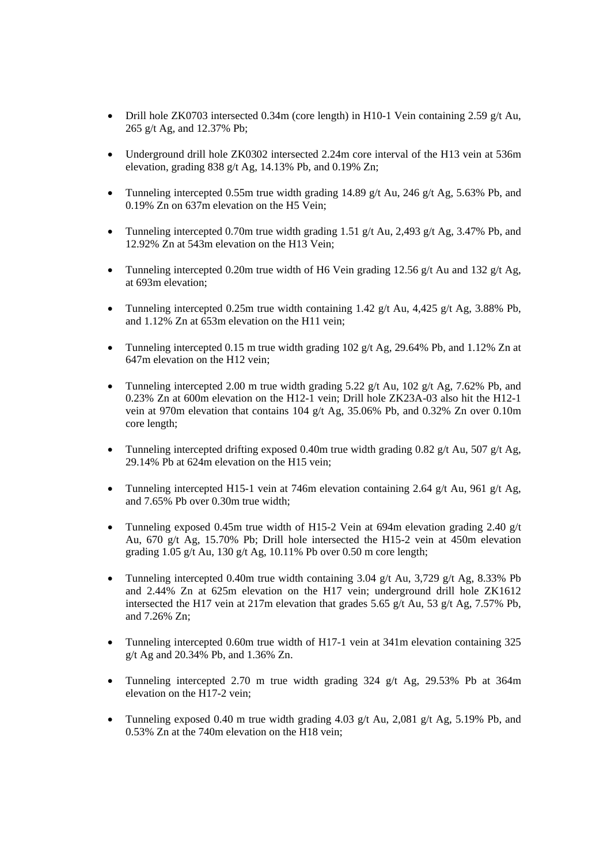- Drill hole ZK0703 intersected 0.34m (core length) in H10-1 Vein containing 2.59 g/t Au, 265 g/t Ag, and 12.37% Pb;
- Underground drill hole ZK0302 intersected 2.24m core interval of the H13 vein at 536m elevation, grading  $838$  g/t Ag, 14.13% Pb, and 0.19% Zn;
- Tunneling intercepted 0.55m true width grading 14.89 g/t Au, 246 g/t Ag, 5.63% Pb, and 0.19% Zn on 637m elevation on the H5 Vein;
- Tunneling intercepted 0.70m true width grading 1.51 g/t Au, 2.493 g/t Ag, 3.47% Pb, and 12.92% Zn at 543m elevation on the H13 Vein;
- Tunneling intercepted 0.20m true width of H6 Vein grading 12.56 g/t Au and 132 g/t Ag, at 693m elevation;
- Tunneling intercepted 0.25m true width containing 1.42 g/t Au, 4,425 g/t Ag, 3.88% Pb, and 1.12% Zn at 653m elevation on the H11 vein;
- Tunneling intercepted 0.15 m true width grading  $102 \frac{\text{g}}{\text{f}}$  Ag, 29.64% Pb, and 1.12% Zn at 647m elevation on the H12 vein;
- Tunneling intercepted 2.00 m true width grading  $5.22$  g/t Au,  $102$  g/t Ag,  $7.62\%$  Pb, and 0.23% Zn at 600m elevation on the H12-1 vein; Drill hole ZK23A-03 also hit the H12-1 vein at 970m elevation that contains 104 g/t Ag, 35.06% Pb, and 0.32% Zn over 0.10m core length;
- Tunneling intercepted drifting exposed 0.40m true width grading 0.82 g/t Au, 507 g/t Ag, 29.14% Pb at 624m elevation on the H15 vein;
- Tunneling intercepted H15-1 vein at 746m elevation containing 2.64 g/t Au, 961 g/t Ag, and 7.65% Pb over 0.30m true width;
- Tunneling exposed 0.45m true width of H15-2 Vein at 694m elevation grading 2.40 g/t Au, 670 g/t Ag, 15.70% Pb; Drill hole intersected the H15-2 vein at 450m elevation grading 1.05 g/t Au, 130 g/t Ag, 10.11% Pb over 0.50 m core length;
- Tunneling intercepted 0.40m true width containing 3.04 g/t Au, 3.729 g/t Ag, 8.33% Pb and 2.44% Zn at 625m elevation on the H17 vein; underground drill hole ZK1612 intersected the H17 vein at 217m elevation that grades 5.65 g/t Au, 53 g/t Ag, 7.57% Pb, and 7.26% Zn;
- Tunneling intercepted 0.60m true width of H17-1 vein at 341m elevation containing 325 g/t Ag and 20.34% Pb, and 1.36% Zn.
- Tunneling intercepted 2.70 m true width grading 324 g/t Ag, 29.53% Pb at 364m elevation on the H17-2 vein;
- Tunneling exposed 0.40 m true width grading 4.03 g/t Au, 2,081 g/t Ag, 5.19% Pb, and 0.53% Zn at the 740m elevation on the H18 vein;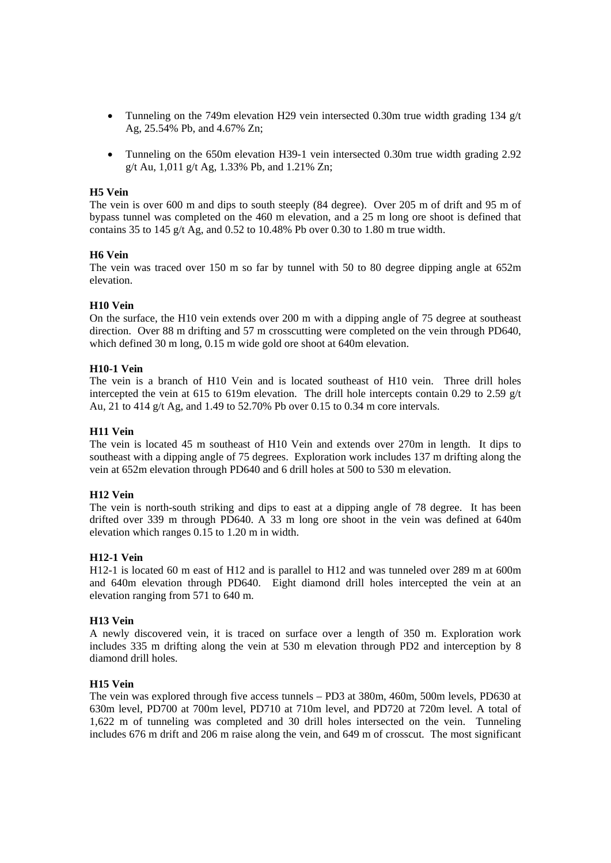- Tunneling on the 749m elevation H29 vein intersected 0.30m true width grading 134  $g/t$ Ag, 25.54% Pb, and 4.67% Zn;
- Tunneling on the 650m elevation H39-1 vein intersected 0.30m true width grading 2.92 g/t Au,  $1,011$  g/t Ag,  $1.33\%$  Pb, and  $1.21\%$  Zn;

# **H5 Vein**

The vein is over 600 m and dips to south steeply (84 degree). Over 205 m of drift and 95 m of bypass tunnel was completed on the 460 m elevation, and a 25 m long ore shoot is defined that contains 35 to 145 g/t Ag, and 0.52 to 10.48% Pb over 0.30 to 1.80 m true width.

# **H6 Vein**

The vein was traced over 150 m so far by tunnel with 50 to 80 degree dipping angle at 652m elevation.

# **H10 Vein**

On the surface, the H10 vein extends over 200 m with a dipping angle of 75 degree at southeast direction. Over 88 m drifting and 57 m crosscutting were completed on the vein through PD640, which defined 30 m long, 0.15 m wide gold ore shoot at 640m elevation.

# **H10-1 Vein**

The vein is a branch of H10 Vein and is located southeast of H10 vein. Three drill holes intercepted the vein at 615 to 619m elevation. The drill hole intercepts contain 0.29 to 2.59  $g/t$ Au, 21 to 414 g/t Ag, and 1.49 to 52.70% Pb over 0.15 to 0.34 m core intervals.

### **H11 Vein**

The vein is located 45 m southeast of H10 Vein and extends over 270m in length. It dips to southeast with a dipping angle of 75 degrees. Exploration work includes 137 m drifting along the vein at 652m elevation through PD640 and 6 drill holes at 500 to 530 m elevation.

### **H12 Vein**

The vein is north-south striking and dips to east at a dipping angle of 78 degree. It has been drifted over 339 m through PD640. A 33 m long ore shoot in the vein was defined at 640m elevation which ranges 0.15 to 1.20 m in width.

### **H12-1 Vein**

H12-1 is located 60 m east of H12 and is parallel to H12 and was tunneled over 289 m at 600m and 640m elevation through PD640. Eight diamond drill holes intercepted the vein at an elevation ranging from 571 to 640 m.

### **H13 Vein**

A newly discovered vein, it is traced on surface over a length of 350 m. Exploration work includes 335 m drifting along the vein at 530 m elevation through PD2 and interception by 8 diamond drill holes.

### **H15 Vein**

The vein was explored through five access tunnels – PD3 at 380m, 460m, 500m levels, PD630 at 630m level, PD700 at 700m level, PD710 at 710m level, and PD720 at 720m level. A total of 1,622 m of tunneling was completed and 30 drill holes intersected on the vein. Tunneling includes 676 m drift and 206 m raise along the vein, and 649 m of crosscut. The most significant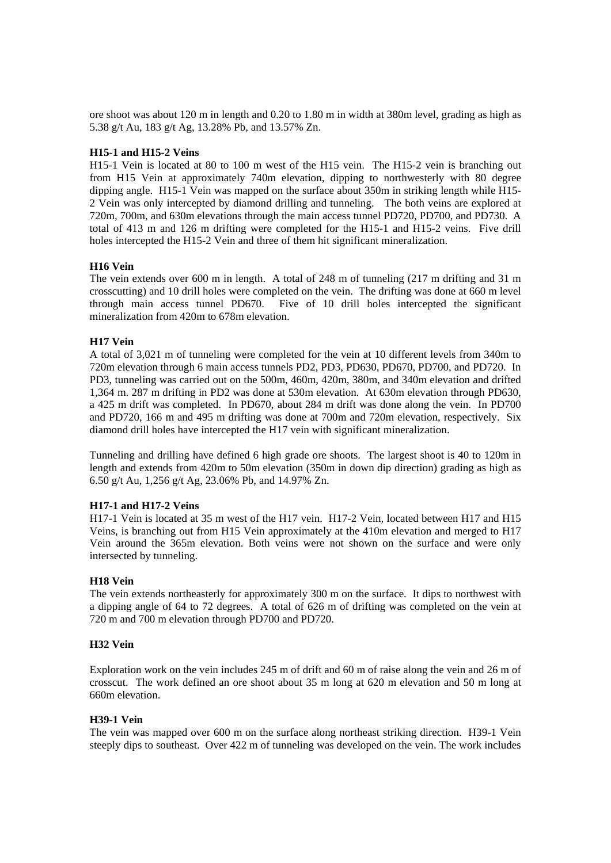ore shoot was about 120 m in length and 0.20 to 1.80 m in width at 380m level, grading as high as 5.38 g/t Au, 183 g/t Ag, 13.28% Pb, and 13.57% Zn.

# **H15-1 and H15-2 Veins**

H15-1 Vein is located at 80 to 100 m west of the H15 vein. The H15-2 vein is branching out from H15 Vein at approximately 740m elevation, dipping to northwesterly with 80 degree dipping angle. H15-1 Vein was mapped on the surface about 350m in striking length while H15- 2 Vein was only intercepted by diamond drilling and tunneling. The both veins are explored at 720m, 700m, and 630m elevations through the main access tunnel PD720, PD700, and PD730. A total of 413 m and 126 m drifting were completed for the H15-1 and H15-2 veins. Five drill holes intercepted the H15-2 Vein and three of them hit significant mineralization.

# **H16 Vein**

The vein extends over 600 m in length. A total of 248 m of tunneling (217 m drifting and 31 m crosscutting) and 10 drill holes were completed on the vein. The drifting was done at 660 m level through main access tunnel PD670. Five of 10 drill holes intercepted the significant mineralization from 420m to 678m elevation.

# **H17 Vein**

A total of 3,021 m of tunneling were completed for the vein at 10 different levels from 340m to 720m elevation through 6 main access tunnels PD2, PD3, PD630, PD670, PD700, and PD720. In PD3, tunneling was carried out on the 500m, 460m, 420m, 380m, and 340m elevation and drifted 1,364 m. 287 m drifting in PD2 was done at 530m elevation. At 630m elevation through PD630, a 425 m drift was completed. In PD670, about 284 m drift was done along the vein. In PD700 and PD720, 166 m and 495 m drifting was done at 700m and 720m elevation, respectively. Six diamond drill holes have intercepted the H17 vein with significant mineralization.

Tunneling and drilling have defined 6 high grade ore shoots. The largest shoot is 40 to 120m in length and extends from 420m to 50m elevation (350m in down dip direction) grading as high as 6.50 g/t Au, 1,256 g/t Ag, 23.06% Pb, and 14.97% Zn.

### **H17-1 and H17-2 Veins**

H17-1 Vein is located at 35 m west of the H17 vein. H17-2 Vein, located between H17 and H15 Veins, is branching out from H15 Vein approximately at the 410m elevation and merged to H17 Vein around the 365m elevation. Both veins were not shown on the surface and were only intersected by tunneling.

### **H18 Vein**

The vein extends northeasterly for approximately 300 m on the surface. It dips to northwest with a dipping angle of 64 to 72 degrees. A total of 626 m of drifting was completed on the vein at 720 m and 700 m elevation through PD700 and PD720.

# **H32 Vein**

Exploration work on the vein includes 245 m of drift and 60 m of raise along the vein and 26 m of crosscut. The work defined an ore shoot about 35 m long at 620 m elevation and 50 m long at 660m elevation.

### **H39-1 Vein**

The vein was mapped over 600 m on the surface along northeast striking direction. H39-1 Vein steeply dips to southeast. Over 422 m of tunneling was developed on the vein. The work includes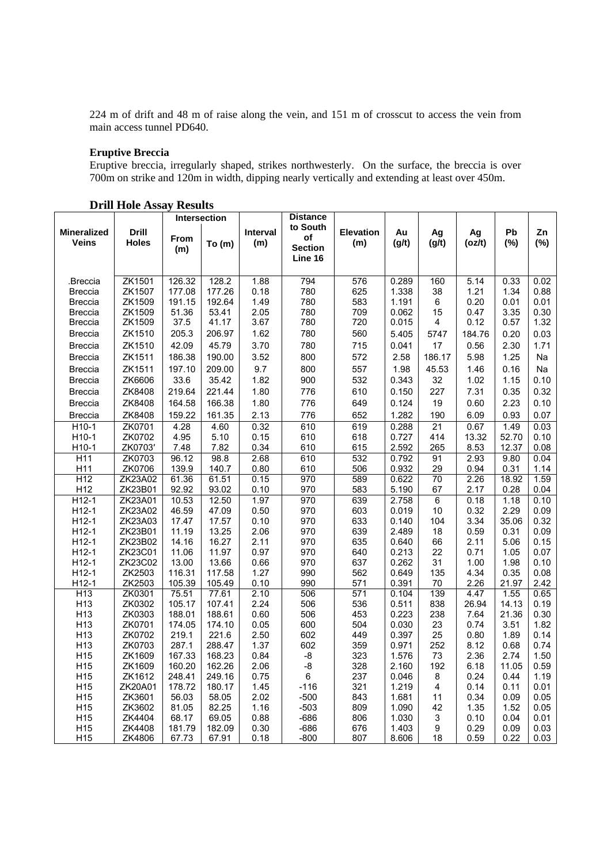224 m of drift and 48 m of raise along the vein, and 151 m of crosscut to access the vein from main access tunnel PD640.

# **Eruptive Breccia**

Eruptive breccia, irregularly shaped, strikes northwesterly. On the surface, the breccia is over 700m on strike and 120m in width, dipping nearly vertically and extending at least over 450m.

|                                    |                              | Intersection    |                 | <b>Distance</b> |                                             |                         |                |                |               |               |              |
|------------------------------------|------------------------------|-----------------|-----------------|-----------------|---------------------------------------------|-------------------------|----------------|----------------|---------------|---------------|--------------|
| <b>Mineralized</b><br><b>Veins</b> | <b>Drill</b><br><b>Holes</b> | From<br>(m)     | To(m)           | Interval<br>(m) | to South<br>οf<br><b>Section</b><br>Line 16 | <b>Elevation</b><br>(m) | Au<br>(g/t)    | Ag<br>(g/t)    | Ag<br>(oz/t)  | Pb<br>$(\%)$  | Zn<br>(%)    |
| Breccia.                           | ZK1501                       | 126.32          | 128.2           | 1.88            | 794                                         | 576                     | 0.289          | 160            | 5.14          | 0.33          | 0.02         |
| <b>Breccia</b>                     | ZK1507                       | 177.08          | 177.26          | 0.18            | 780                                         | 625                     | 1.338          | 38             | 1.21          | 1.34          | 0.88         |
| <b>Breccia</b>                     | ZK1509                       | 191.15          | 192.64          | 1.49            | 780                                         | 583                     | 1.191          | 6              | 0.20          | 0.01          | 0.01         |
| <b>Breccia</b>                     | ZK1509                       | 51.36           | 53.41           | 2.05            | 780                                         | 709                     | 0.062          | 15             | 0.47          | 3.35          | 0.30         |
| <b>Breccia</b>                     | ZK1509                       | 37.5            | 41.17           | 3.67            | 780                                         | 720                     | 0.015          | 4              | 0.12          | 0.57          | 1.32         |
| <b>Breccia</b>                     | ZK1510                       | 205.3           | 206.97          | 1.62            | 780                                         | 560                     | 5.405          | 5747           | 184.76        | 0.20          | 0.03         |
| <b>Breccia</b>                     | ZK1510                       | 42.09           | 45.79           | 3.70            | 780                                         | 715                     | 0.041          | 17             | 0.56          | 2.30          | 1.71         |
| <b>Breccia</b>                     | ZK1511                       | 186.38          | 190.00          | 3.52            | 800                                         | 572                     | 2.58           | 186.17         | 5.98          | 1.25          | Na           |
| <b>Breccia</b>                     | ZK1511                       | 197.10          | 209.00          | 9.7             | 800                                         | 557                     | 1.98           | 45.53          | 1.46          | 0.16          | Na           |
| <b>Breccia</b>                     | ZK6606                       | 33.6            | 35.42           | 1.82            | 900                                         | 532                     | 0.343          | 32             | 1.02          | 1.15          | 0.10         |
| <b>Breccia</b>                     | ZK8408                       | 219.64          | 221.44          | 1.80            | 776                                         | 610                     | 0.150          | 227            | 7.31          | 0.35          | 0.32         |
| <b>Breccia</b>                     | ZK8408                       | 164.58          | 166.38          | 1.80            | 776                                         | 649                     | 0.124          | 19             | 0.60          | 2.23          | 0.10         |
| <b>Breccia</b>                     | ZK8408                       | 159.22          | 161.35          | 2.13            | 776                                         | 652                     | 1.282          | 190            | 6.09          | 0.93          | 0.07         |
| H10-1                              | ZK0701                       | 4.28            | 4.60            | 0.32            | 610                                         | 619                     | 0.288          | 21             | 0.67          | 1.49          | 0.03         |
| $H10-1$                            | ZK0702                       | 4.95            | 5.10            | 0.15            | 610                                         | 618                     | 0.727          | 414            | 13.32         | 52.70         | 0.10         |
| H10-1                              | ZK0703'                      | 7.48            | 7.82            | 0.34            | 610                                         | 615                     | 2.592          | 265            | 8.53          | 12.37         | 0.08         |
| H <sub>11</sub>                    | ZK0703                       | 96.12           | 98.8            | 2.68            | 610                                         | 532                     | 0.792          | 91             | 2.93          | 9.80          | 0.04         |
| H11                                | ZK0706                       | 139.9           | 140.7           | 0.80            | 610                                         | 506                     | 0.932          | 29             | 0.94          | 0.31          | 1.14         |
| H12                                | ZK23A02                      | 61.36           | 61.51           | 0.15            | 970                                         | 589                     | 0.622          | 70             | 2.26          | 18.92         | 1.59         |
| H12                                | ZK23B01                      | 92.92           | 93.02           | 0.10            | 970                                         | 583                     | 5.190          | 67             | 2.17          | 0.28          | 0.04         |
| $H12-1$                            | ZK23A01                      | 10.53           | 12.50           | 1.97            | 970                                         | 639                     | 2.758          | $\overline{6}$ | 0.18          | 1.18          | 0.10         |
| $H12-1$                            | ZK23A02                      | 46.59           | 47.09           | 0.50            | 970                                         | 603                     | 0.019          | 10             | 0.32          | 2.29          | 0.09         |
| $H12-1$                            | ZK23A03                      | 17.47           | 17.57           | 0.10            | 970                                         | 633                     | 0.140          | 104            | 3.34          | 35.06         | 0.32         |
| $H12-1$                            | ZK23B01                      | 11.19           | 13.25           | 2.06            | 970                                         | 639                     | 2.489          | 18             | 0.59          | 0.31          | 0.09         |
| $H12-1$                            | ZK23B02                      | 14.16           | 16.27           | 2.11            | 970                                         | 635                     | 0.640          | 66             | 2.11          | 5.06          | 0.15         |
| $H12-1$                            | ZK23C01                      | 11.06           | 11.97           | 0.97            | 970                                         | 640                     | 0.213          | 22             | 0.71          | 1.05          | 0.07         |
| $H12-1$                            | ZK23C02                      | 13.00           | 13.66           | 0.66            | 970                                         | 637                     | 0.262          | 31             | 1.00          | 1.98          | 0.10         |
| $H12-1$                            | ZK2503                       | 116.31          | 117.58          | 1.27            | 990                                         | 562                     | 0.649          | 135            | 4.34          | 0.35          | 0.08         |
| $H12-1$                            | ZK2503                       | 105.39          | 105.49          | 0.10            | 990                                         | 571                     | 0.391          | 70             | 2.26          | 21.97         | 2.42         |
| H <sub>13</sub><br>H <sub>13</sub> | ZK0301<br>ZK0302             | 75.51<br>105.17 | 77.61<br>107.41 | 2.10<br>2.24    | 506<br>506                                  | 571<br>536              | 0.104<br>0.511 | 139<br>838     | 4.47<br>26.94 | 1.55<br>14.13 | 0.65<br>0.19 |
| H <sub>13</sub>                    | ZK0303                       | 188.01          | 188.61          | 0.60            | 506                                         | 453                     | 0.223          | 238            | 7.64          | 21.36         | 0.30         |
| H <sub>13</sub>                    | ZK0701                       | 174.05          | 174.10          | 0.05            | 600                                         | 504                     | 0.030          | 23             | 0.74          | 3.51          | 1.82         |
| H <sub>13</sub>                    | ZK0702                       | 219.1           | 221.6           | 2.50            | 602                                         | 449                     | 0.397          | 25             | 0.80          | 1.89          | 0.14         |
| H <sub>13</sub>                    | ZK0703                       | 287.1           | 288.47          | 1.37            | 602                                         | 359                     | 0.971          | 252            | 8.12          | 0.68          | 0.74         |
| H <sub>15</sub>                    | ZK1609                       | 167.33          | 168.23          | 0.84            | -8                                          | 323                     | 1.576          | 73             | 2.36          | 2.74          | 1.50         |
| H <sub>15</sub>                    | ZK1609                       | 160.20          | 162.26          | 2.06            | $-8$                                        | 328                     | 2.160          | 192            | 6.18          | 11.05         | 0.59         |
| H <sub>15</sub>                    | ZK1612                       | 248.41          | 249.16          | 0.75            | 6                                           | 237                     | 0.046          | 8              | 0.24          | 0.44          | 1.19         |
| H <sub>15</sub>                    | ZK20A01                      | 178.72          | 180.17          | 1.45            | $-116$                                      | 321                     | 1.219          | 4              | 0.14          | 0.11          | 0.01         |
| H15                                | ZK3601                       | 56.03           | 58.05           | 2.02            | $-500$                                      | 843                     | 1.681          | 11             | 0.34          | 0.09          | 0.05         |
| H <sub>15</sub>                    | ZK3602                       | 81.05           | 82.25           | 1.16            | $-503$                                      | 809                     | 1.090          | 42             | 1.35          | 1.52          | 0.05         |
| H <sub>15</sub>                    | ZK4404                       | 68.17           | 69.05           | 0.88            | $-686$                                      | 806                     | 1.030          | 3              | 0.10          | 0.04          | 0.01         |
| H <sub>15</sub>                    | ZK4408                       | 181.79          | 182.09          | 0.30            | $-686$                                      | 676                     | 1.403          | 9              | 0.29          | 0.09          | 0.03         |
| H15                                | ZK4806                       | 67.73           | 67.91           | 0.18            | $-800$                                      | 807                     | 8.606          | 18             | 0.59          | 0.22          | 0.03         |

**Drill Hole Assay Results**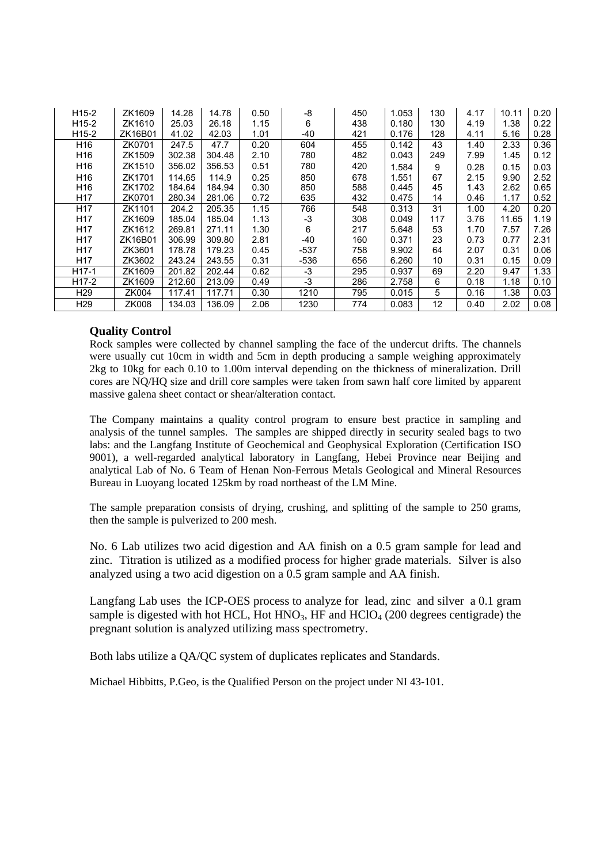| $H15-2$           | ZK1609       | 14.28  | 14.78  | 0.50 | -8     | 450 | 1.053 | 130 | 4.17 | 10.11 | 0.20 |
|-------------------|--------------|--------|--------|------|--------|-----|-------|-----|------|-------|------|
| $H15-2$           | ZK1610       | 25.03  | 26.18  | 1.15 | 6      | 438 | 0.180 | 130 | 4.19 | 1.38  | 0.22 |
| $H15-2$           | ZK16B01      | 41.02  | 42.03  | 1.01 | -40    | 421 | 0.176 | 128 | 4.11 | 5.16  | 0.28 |
| H <sub>16</sub>   | ZK0701       | 247.5  | 47.7   | 0.20 | 604    | 455 | 0.142 | 43  | 1.40 | 2.33  | 0.36 |
| H <sub>16</sub>   | ZK1509       | 302.38 | 304.48 | 2.10 | 780    | 482 | 0.043 | 249 | 7.99 | 1.45  | 0.12 |
| H <sub>16</sub>   | ZK1510       | 356.02 | 356.53 | 0.51 | 780    | 420 | 1.584 | 9   | 0.28 | 0.15  | 0.03 |
| H <sub>16</sub>   | ZK1701       | 114.65 | 114.9  | 0.25 | 850    | 678 | 1.551 | 67  | 2.15 | 9.90  | 2.52 |
| H <sub>16</sub>   | ZK1702       | 184.64 | 184.94 | 0.30 | 850    | 588 | 0.445 | 45  | 1.43 | 2.62  | 0.65 |
| H <sub>17</sub>   | ZK0701       | 280.34 | 281.06 | 0.72 | 635    | 432 | 0.475 | 14  | 0.46 | 1.17  | 0.52 |
| H <sub>17</sub>   | ZK1101       | 204.2  | 205.35 | 1.15 | 766    | 548 | 0.313 | 31  | 1.00 | 4.20  | 0.20 |
| H <sub>17</sub>   | ZK1609       | 185.04 | 185.04 | 1.13 | -3     | 308 | 0.049 | 117 | 3.76 | 11.65 | 1.19 |
| H <sub>17</sub>   | ZK1612       | 269.81 | 271.11 | 1.30 | 6      | 217 | 5.648 | 53  | 1.70 | 7.57  | 7.26 |
| H <sub>17</sub>   | ZK16B01      | 306.99 | 309.80 | 2.81 | -40    | 160 | 0.371 | 23  | 0.73 | 0.77  | 2.31 |
| H <sub>17</sub>   | ZK3601       | 178.78 | 179.23 | 0.45 | $-537$ | 758 | 9.902 | 64  | 2.07 | 0.31  | 0.06 |
| H <sub>17</sub>   | ZK3602       | 243.24 | 243.55 | 0.31 | $-536$ | 656 | 6.260 | 10  | 0.31 | 0.15  | 0.09 |
| H <sub>17-1</sub> | ZK1609       | 201.82 | 202.44 | 0.62 | $-3$   | 295 | 0.937 | 69  | 2.20 | 9.47  | 1.33 |
| $H17-2$           | ZK1609       | 212.60 | 213.09 | 0.49 | $-3$   | 286 | 2.758 | 6   | 0.18 | 1.18  | 0.10 |
| H <sub>29</sub>   | ZK004        | 117.41 | 117.71 | 0.30 | 1210   | 795 | 0.015 | 5   | 0.16 | 1.38  | 0.03 |
| H <sub>29</sub>   | <b>ZK008</b> | 134.03 | 136.09 | 2.06 | 1230   | 774 | 0.083 | 12  | 0.40 | 2.02  | 0.08 |

# **Quality Control**

Rock samples were collected by channel sampling the face of the undercut drifts. The channels were usually cut 10cm in width and 5cm in depth producing a sample weighing approximately 2kg to 10kg for each 0.10 to 1.00m interval depending on the thickness of mineralization. Drill cores are NQ/HQ size and drill core samples were taken from sawn half core limited by apparent massive galena sheet contact or shear/alteration contact.

The Company maintains a quality control program to ensure best practice in sampling and analysis of the tunnel samples. The samples are shipped directly in security sealed bags to two labs: and the Langfang Institute of Geochemical and Geophysical Exploration (Certification ISO 9001), a well-regarded analytical laboratory in Langfang, Hebei Province near Beijing and analytical Lab of No. 6 Team of Henan Non-Ferrous Metals Geological and Mineral Resources Bureau in Luoyang located 125km by road northeast of the LM Mine.

The sample preparation consists of drying, crushing, and splitting of the sample to 250 grams, then the sample is pulverized to 200 mesh.

No. 6 Lab utilizes two acid digestion and AA finish on a 0.5 gram sample for lead and zinc. Titration is utilized as a modified process for higher grade materials. Silver is also analyzed using a two acid digestion on a 0.5 gram sample and AA finish.

Langfang Lab uses the ICP-OES process to analyze for lead, zinc and silver a 0.1 gram sample is digested with hot HCL, Hot HNO<sub>3</sub>, HF and HClO<sub>4</sub> (200 degrees centigrade) the pregnant solution is analyzed utilizing mass spectrometry.

Both labs utilize a QA/QC system of duplicates replicates and Standards.

Michael Hibbitts, P.Geo, is the Qualified Person on the project under NI 43-101.